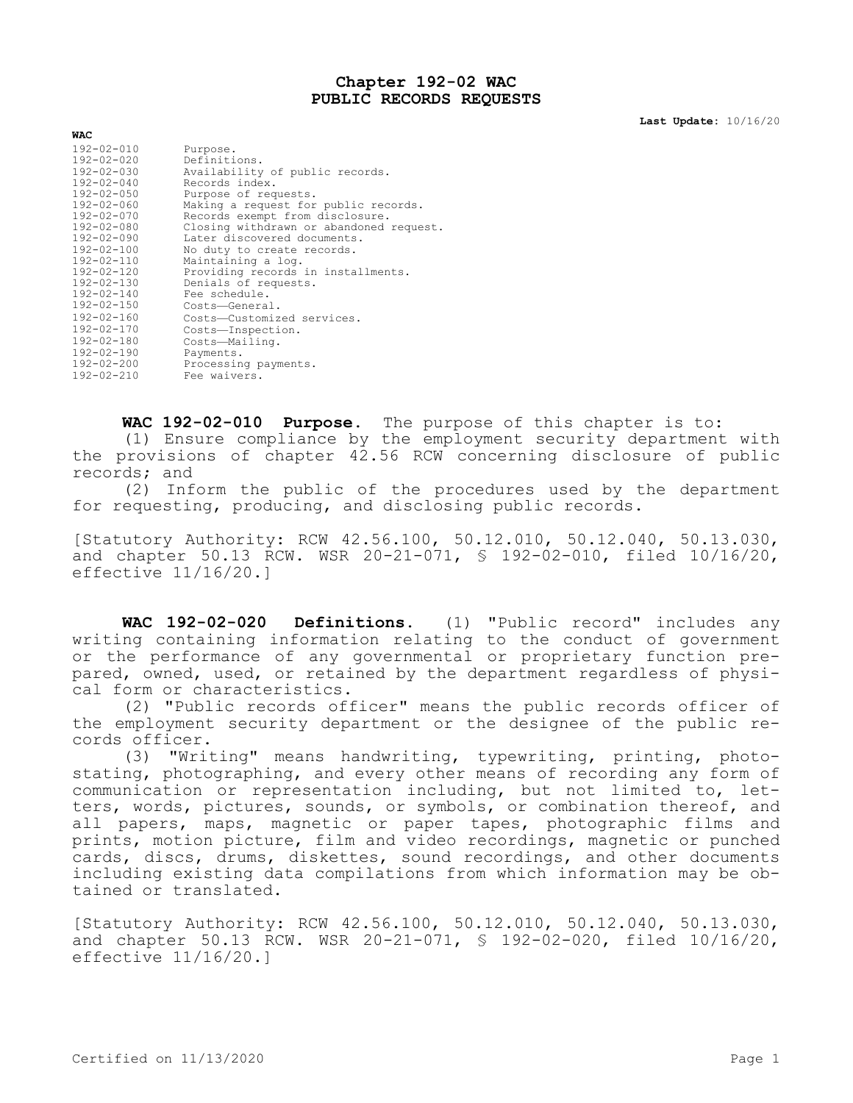## **Chapter 192-02 WAC PUBLIC RECORDS REQUESTS**

**Last Update:** 10/16/20

| WAC.             |                                         |
|------------------|-----------------------------------------|
| $192 - 02 - 010$ | Purpose.                                |
| $192 - 02 - 020$ | Definitions.                            |
| $192 - 02 - 030$ | Availability of public records.         |
| $192 - 02 - 040$ | Records index.                          |
| $192 - 02 - 050$ | Purpose of requests.                    |
| $192 - 02 - 060$ | Making a request for public records.    |
| $192 - 02 - 070$ | Records exempt from disclosure.         |
| $192 - 02 - 080$ | Closing withdrawn or abandoned request. |
| $192 - 02 - 090$ | Later discovered documents.             |
| $192 - 02 - 100$ | No duty to create records.              |
| $192 - 02 - 110$ | Maintaining a log.                      |
| 192-02-120       | Providing records in installments.      |
| $192 - 02 - 130$ | Denials of requests.                    |
| $192 - 02 - 140$ | Fee schedule.                           |
| $192 - 02 - 150$ | Costs-General.                          |
| $192 - 02 - 160$ | Costs-Customized services.              |
| $192 - 02 - 170$ | Costs-Inspection.                       |
| $192 - 02 - 180$ | Costs-Mailing.                          |
| $192 - 02 - 190$ | Payments.                               |
| $192 - 02 - 200$ | Processing payments.                    |
| $192 - 02 - 210$ | Fee waivers.                            |
|                  |                                         |

**WAC 192-02-010 Purpose.** The purpose of this chapter is to:

(1) Ensure compliance by the employment security department with the provisions of chapter 42.56 RCW concerning disclosure of public records; and

(2) Inform the public of the procedures used by the department for requesting, producing, and disclosing public records.

[Statutory Authority: RCW 42.56.100, 50.12.010, 50.12.040, 50.13.030, and chapter 50.13 RCW. WSR 20-21-071, § 192-02-010, filed 10/16/20, effective 11/16/20.]

**WAC 192-02-020 Definitions.** (1) "Public record" includes any writing containing information relating to the conduct of government or the performance of any governmental or proprietary function prepared, owned, used, or retained by the department regardless of physical form or characteristics.

(2) "Public records officer" means the public records officer of the employment security department or the designee of the public records officer.

(3) "Writing" means handwriting, typewriting, printing, photostating, photographing, and every other means of recording any form of communication or representation including, but not limited to, letters, words, pictures, sounds, or symbols, or combination thereof, and all papers, maps, magnetic or paper tapes, photographic films and prints, motion picture, film and video recordings, magnetic or punched cards, discs, drums, diskettes, sound recordings, and other documents including existing data compilations from which information may be obtained or translated.

[Statutory Authority: RCW 42.56.100, 50.12.010, 50.12.040, 50.13.030, and chapter 50.13 RCW. WSR 20-21-071, § 192-02-020, filed 10/16/20, effective 11/16/20.]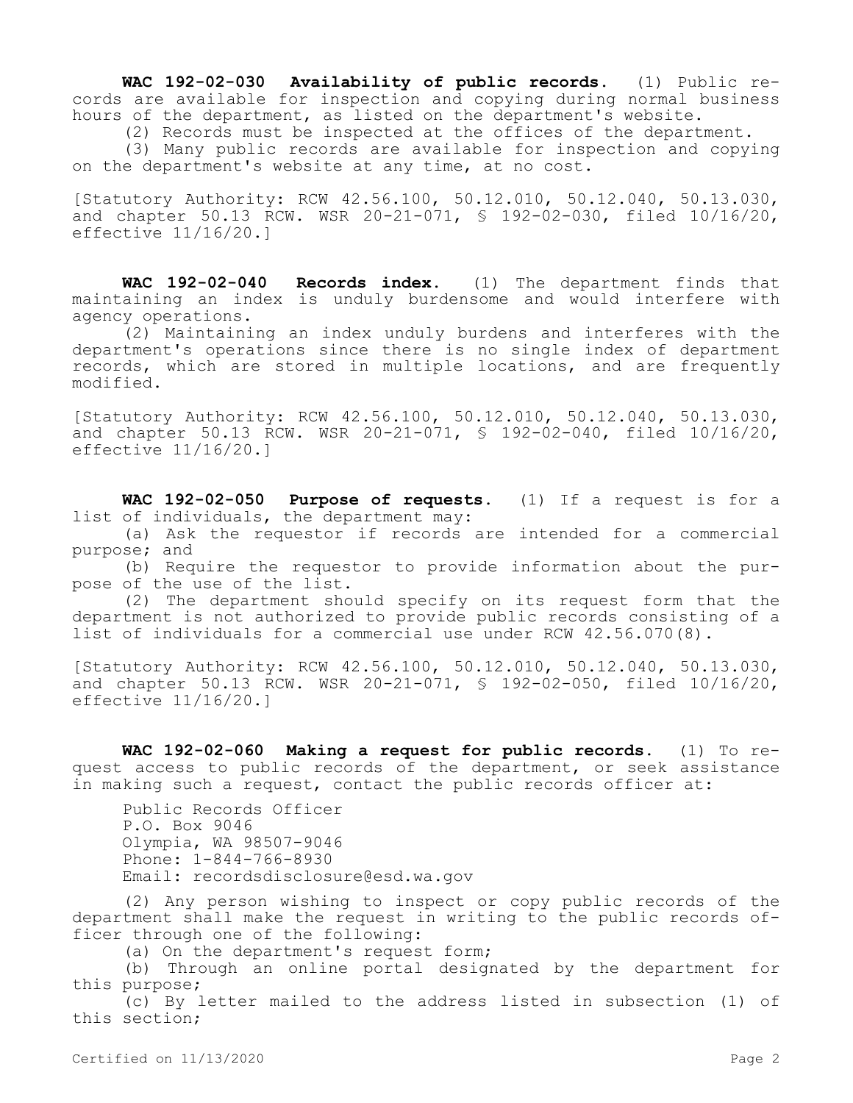**WAC 192-02-030 Availability of public records.** (1) Public records are available for inspection and copying during normal business hours of the department, as listed on the department's website.

(2) Records must be inspected at the offices of the department. (3) Many public records are available for inspection and copying

on the department's website at any time, at no cost.

[Statutory Authority: RCW 42.56.100, 50.12.010, 50.12.040, 50.13.030, and chapter 50.13 RCW. WSR 20-21-071, § 192-02-030, filed 10/16/20, effective 11/16/20.]

**WAC 192-02-040 Records index.** (1) The department finds that maintaining an index is unduly burdensome and would interfere with agency operations.

(2) Maintaining an index unduly burdens and interferes with the department's operations since there is no single index of department records, which are stored in multiple locations, and are frequently modified.

[Statutory Authority: RCW 42.56.100, 50.12.010, 50.12.040, 50.13.030, and chapter 50.13 RCW. WSR 20-21-071, § 192-02-040, filed 10/16/20, effective 11/16/20.]

**WAC 192-02-050 Purpose of requests.** (1) If a request is for a list of individuals, the department may:

(a) Ask the requestor if records are intended for a commercial purpose; and

(b) Require the requestor to provide information about the purpose of the use of the list.

(2) The department should specify on its request form that the department is not authorized to provide public records consisting of a list of individuals for a commercial use under RCW 42.56.070(8).

[Statutory Authority: RCW 42.56.100, 50.12.010, 50.12.040, 50.13.030, and chapter 50.13 RCW. WSR 20-21-071, § 192-02-050, filed 10/16/20, effective 11/16/20.]

**WAC 192-02-060 Making a request for public records.** (1) To request access to public records of the department, or seek assistance in making such a request, contact the public records officer at:

Public Records Officer P.O. Box 9046 Olympia, WA 98507-9046 Phone: 1-844-766-8930 Email: recordsdisclosure@esd.wa.gov

(2) Any person wishing to inspect or copy public records of the department shall make the request in writing to the public records officer through one of the following:

(a) On the department's request form;

(b) Through an online portal designated by the department for this purpose;

(c) By letter mailed to the address listed in subsection (1) of this section;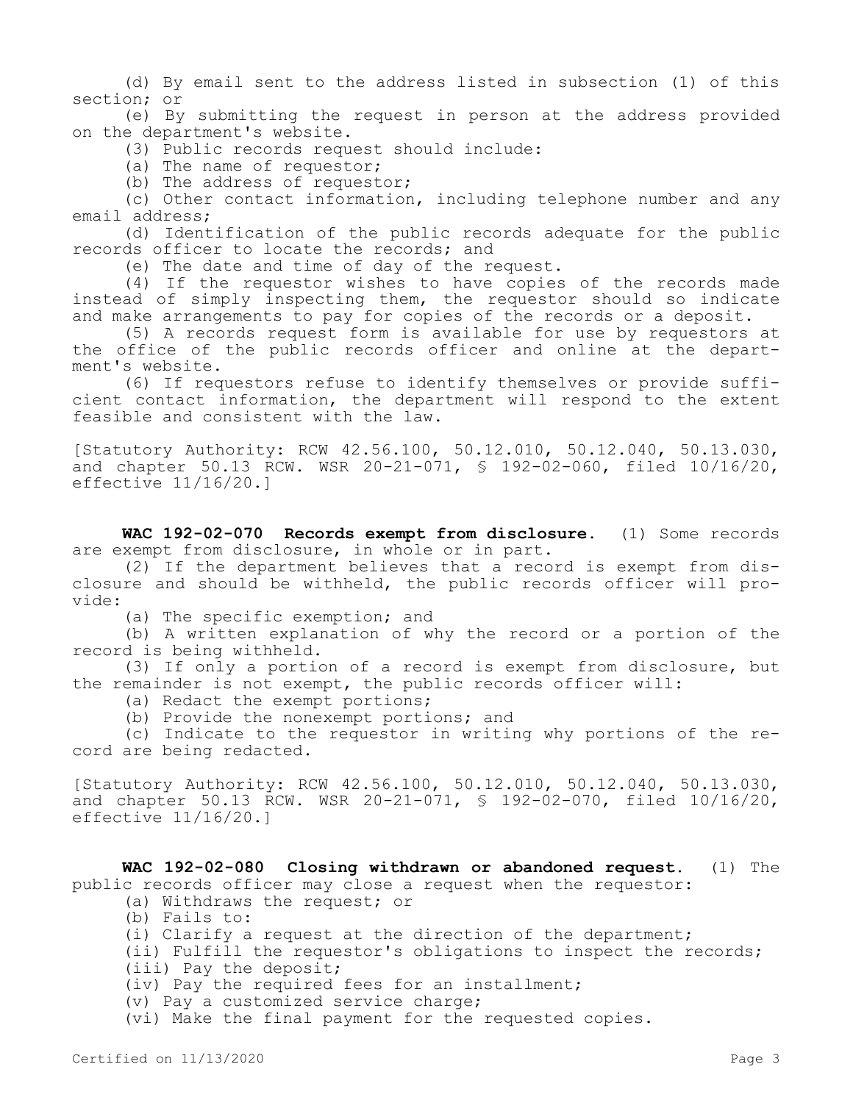(d) By email sent to the address listed in subsection (1) of this section; or

(e) By submitting the request in person at the address provided on the department's website.

(3) Public records request should include:

(a) The name of requestor;

(b) The address of requestor;

(c) Other contact information, including telephone number and any email address;

(d) Identification of the public records adequate for the public records officer to locate the records; and

(e) The date and time of day of the request.

(4) If the requestor wishes to have copies of the records made instead of simply inspecting them, the requestor should so indicate and make arrangements to pay for copies of the records or a deposit.

(5) A records request form is available for use by requestors at the office of the public records officer and online at the department's website.

(6) If requestors refuse to identify themselves or provide sufficient contact information, the department will respond to the extent feasible and consistent with the law.

[Statutory Authority: RCW 42.56.100, 50.12.010, 50.12.040, 50.13.030, and chapter 50.13 RCW. WSR 20-21-071, § 192-02-060, filed 10/16/20, effective 11/16/20.]

**WAC 192-02-070 Records exempt from disclosure.** (1) Some records are exempt from disclosure, in whole or in part.

(2) If the department believes that a record is exempt from disclosure and should be withheld, the public records officer will provide:

(a) The specific exemption; and

(b) A written explanation of why the record or a portion of the record is being withheld.

(3) If only a portion of a record is exempt from disclosure, but the remainder is not exempt, the public records officer will:

(a) Redact the exempt portions;

(b) Provide the nonexempt portions; and

(c) Indicate to the requestor in writing why portions of the record are being redacted.

[Statutory Authority: RCW 42.56.100, 50.12.010, 50.12.040, 50.13.030, and chapter 50.13 RCW. WSR 20-21-071, § 192-02-070, filed 10/16/20, effective 11/16/20.]

**WAC 192-02-080 Closing withdrawn or abandoned request.** (1) The public records officer may close a request when the requestor:

(a) Withdraws the request; or

(b) Fails to:

(i) Clarify a request at the direction of the department;

(ii) Fulfill the requestor's obligations to inspect the records; (iii) Pay the deposit;

(iv) Pay the required fees for an installment;

(v) Pay a customized service charge;

(vi) Make the final payment for the requested copies.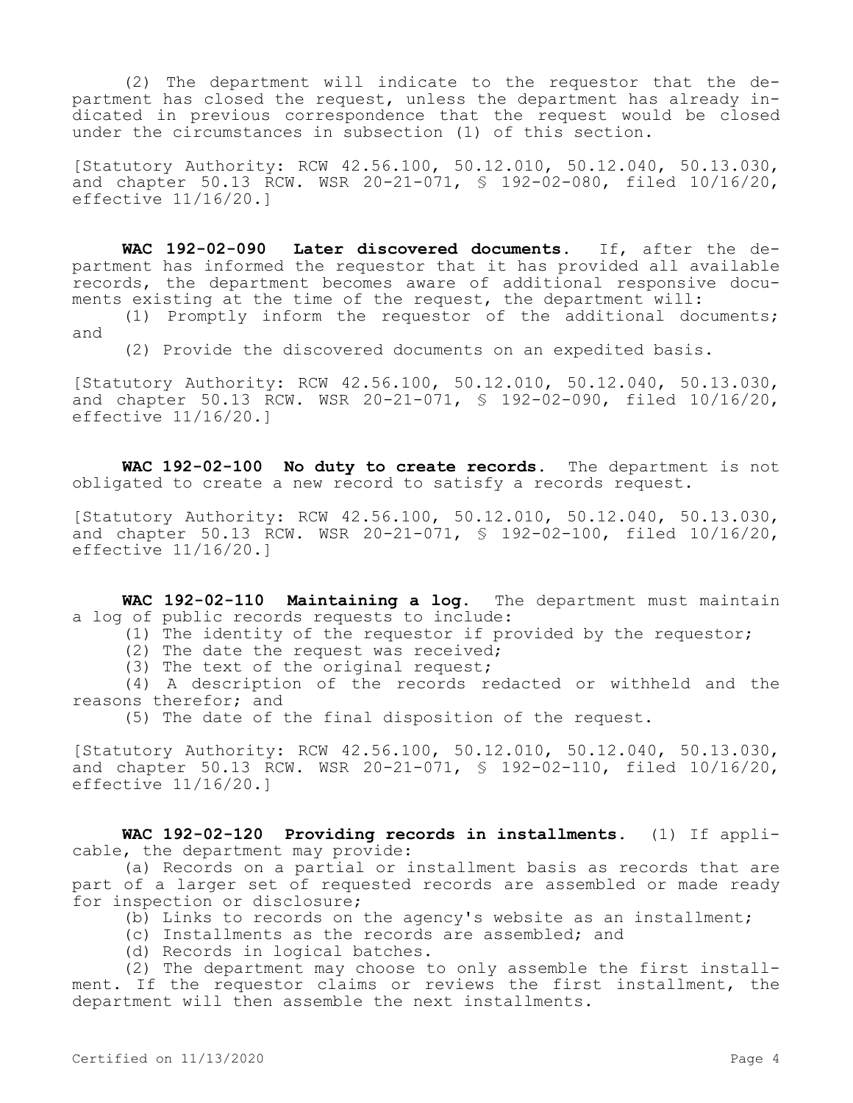(2) The department will indicate to the requestor that the department has closed the request, unless the department has already indicated in previous correspondence that the request would be closed under the circumstances in subsection (1) of this section.

[Statutory Authority: RCW 42.56.100, 50.12.010, 50.12.040, 50.13.030, and chapter 50.13 RCW. WSR 20-21-071, § 192-02-080, filed 10/16/20, effective 11/16/20.]

**WAC 192-02-090 Later discovered documents.** If, after the department has informed the requestor that it has provided all available records, the department becomes aware of additional responsive documents existing at the time of the request, the department will:

(1) Promptly inform the requestor of the additional documents; and

(2) Provide the discovered documents on an expedited basis.

[Statutory Authority: RCW 42.56.100, 50.12.010, 50.12.040, 50.13.030, and chapter 50.13 RCW. WSR 20-21-071, § 192-02-090, filed 10/16/20, effective 11/16/20.]

**WAC 192-02-100 No duty to create records.** The department is not obligated to create a new record to satisfy a records request.

[Statutory Authority: RCW 42.56.100, 50.12.010, 50.12.040, 50.13.030, and chapter 50.13 RCW. WSR 20-21-071, § 192-02-100, filed 10/16/20, effective 11/16/20.]

**WAC 192-02-110 Maintaining a log.** The department must maintain a log of public records requests to include:

- (1) The identity of the requestor if provided by the requestor;
	- (2) The date the request was received;
	- (3) The text of the original request;

(4) A description of the records redacted or withheld and the reasons therefor; and

(5) The date of the final disposition of the request.

[Statutory Authority: RCW 42.56.100, 50.12.010, 50.12.040, 50.13.030, and chapter 50.13 RCW. WSR 20-21-071, § 192-02-110, filed 10/16/20, effective 11/16/20.]

**WAC 192-02-120 Providing records in installments.** (1) If applicable, the department may provide:

(a) Records on a partial or installment basis as records that are part of a larger set of requested records are assembled or made ready for inspection or disclosure;

- (b) Links to records on the agency's website as an installment;
- (c) Installments as the records are assembled; and
- (d) Records in logical batches.

(2) The department may choose to only assemble the first installment. If the requestor claims or reviews the first installment, the department will then assemble the next installments.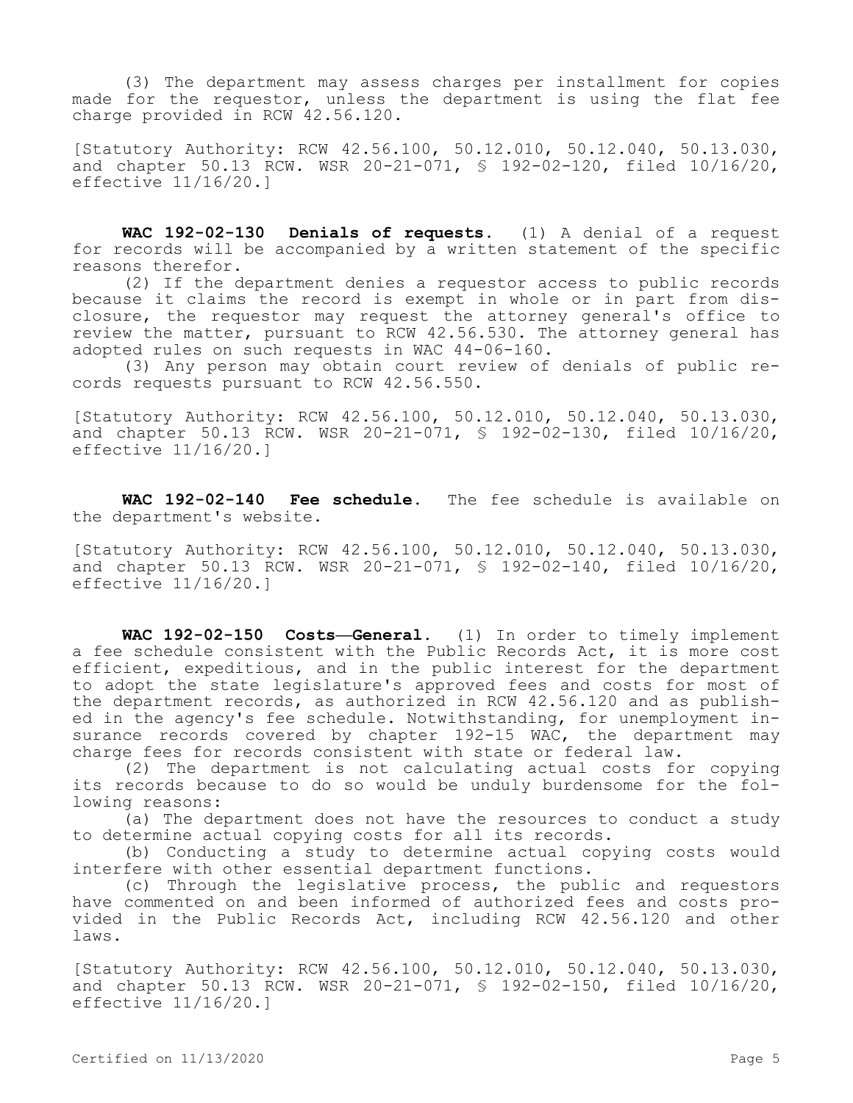(3) The department may assess charges per installment for copies made for the requestor, unless the department is using the flat fee charge provided in RCW 42.56.120.

[Statutory Authority: RCW 42.56.100, 50.12.010, 50.12.040, 50.13.030, and chapter 50.13 RCW. WSR 20-21-071, § 192-02-120, filed 10/16/20, effective 11/16/20.]

**WAC 192-02-130 Denials of requests.** (1) A denial of a request for records will be accompanied by a written statement of the specific reasons therefor.

(2) If the department denies a requestor access to public records because it claims the record is exempt in whole or in part from disclosure, the requestor may request the attorney general's office to review the matter, pursuant to RCW 42.56.530. The attorney general has adopted rules on such requests in WAC 44-06-160.

(3) Any person may obtain court review of denials of public records requests pursuant to RCW 42.56.550.

[Statutory Authority: RCW 42.56.100, 50.12.010, 50.12.040, 50.13.030, and chapter 50.13 RCW. WSR 20-21-071, § 192-02-130, filed 10/16/20, effective 11/16/20.]

**WAC 192-02-140 Fee schedule.** The fee schedule is available on the department's website.

[Statutory Authority: RCW 42.56.100, 50.12.010, 50.12.040, 50.13.030, and chapter 50.13 RCW. WSR 20-21-071, § 192-02-140, filed 10/16/20, effective 11/16/20.]

**WAC 192-02-150 Costs—General.** (1) In order to timely implement a fee schedule consistent with the Public Records Act, it is more cost efficient, expeditious, and in the public interest for the department to adopt the state legislature's approved fees and costs for most of the department records, as authorized in RCW 42.56.120 and as published in the agency's fee schedule. Notwithstanding, for unemployment insurance records covered by chapter 192-15 WAC, the department may charge fees for records consistent with state or federal law.

(2) The department is not calculating actual costs for copying its records because to do so would be unduly burdensome for the following reasons:

(a) The department does not have the resources to conduct a study to determine actual copying costs for all its records.

(b) Conducting a study to determine actual copying costs would interfere with other essential department functions.

(c) Through the legislative process, the public and requestors have commented on and been informed of authorized fees and costs provided in the Public Records Act, including RCW 42.56.120 and other laws.

[Statutory Authority: RCW 42.56.100, 50.12.010, 50.12.040, 50.13.030, and chapter 50.13 RCW. WSR 20-21-071, § 192-02-150, filed 10/16/20, effective 11/16/20.]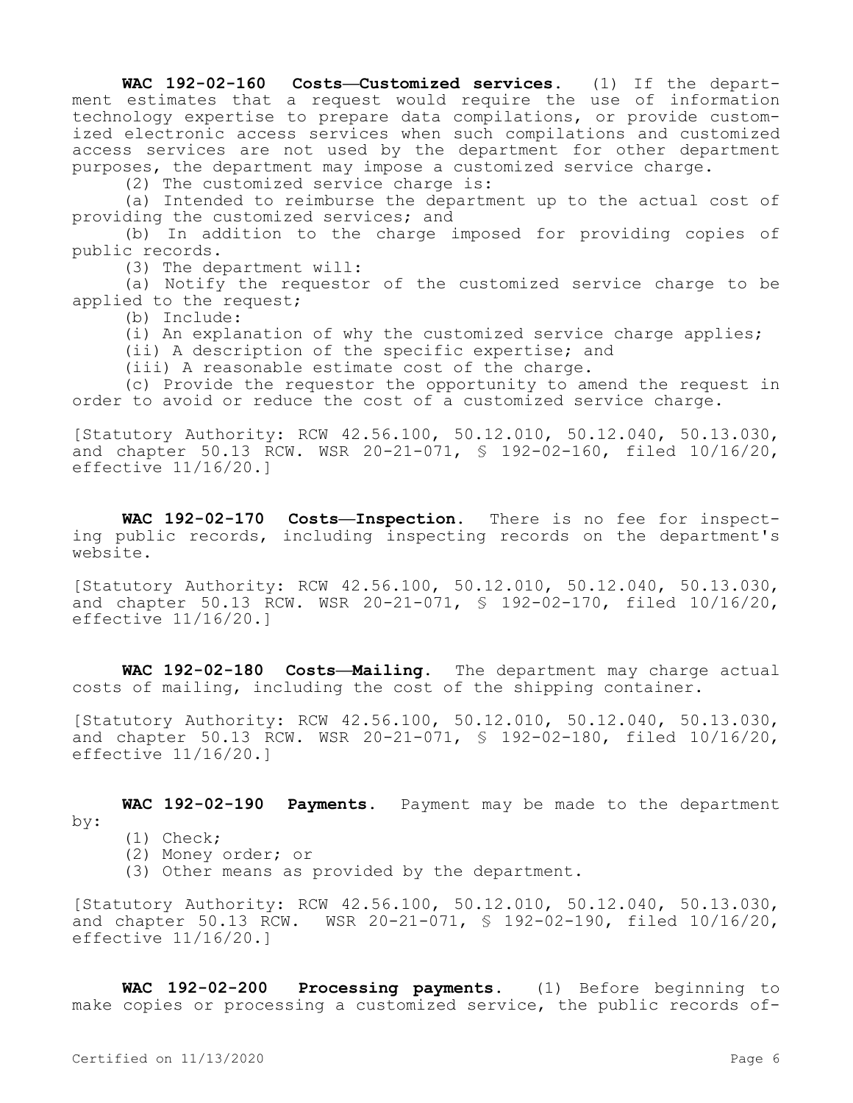**WAC 192-02-160 Costs—Customized services.** (1) If the department estimates that a request would require the use of information technology expertise to prepare data compilations, or provide customized electronic access services when such compilations and customized access services are not used by the department for other department purposes, the department may impose a customized service charge.

(2) The customized service charge is:

(a) Intended to reimburse the department up to the actual cost of providing the customized services; and

(b) In addition to the charge imposed for providing copies of public records.

(3) The department will:

(a) Notify the requestor of the customized service charge to be applied to the request;

(b) Include:

(i) An explanation of why the customized service charge applies;

(ii) A description of the specific expertise; and

(iii) A reasonable estimate cost of the charge.

(c) Provide the requestor the opportunity to amend the request in order to avoid or reduce the cost of a customized service charge.

[Statutory Authority: RCW 42.56.100, 50.12.010, 50.12.040, 50.13.030, and chapter 50.13 RCW. WSR 20-21-071, § 192-02-160, filed 10/16/20, effective 11/16/20.]

**WAC 192-02-170 Costs—Inspection.** There is no fee for inspecting public records, including inspecting records on the department's website.

[Statutory Authority: RCW 42.56.100, 50.12.010, 50.12.040, 50.13.030, and chapter 50.13 RCW. WSR 20-21-071, § 192-02-170, filed 10/16/20, effective 11/16/20.]

**WAC 192-02-180 Costs—Mailing.** The department may charge actual costs of mailing, including the cost of the shipping container.

[Statutory Authority: RCW 42.56.100, 50.12.010, 50.12.040, 50.13.030, and chapter 50.13 RCW. WSR 20-21-071, § 192-02-180, filed 10/16/20, effective 11/16/20.]

**WAC 192-02-190 Payments.** Payment may be made to the department by:

- (1) Check;
- (2) Money order; or
- (3) Other means as provided by the department.

[Statutory Authority: RCW 42.56.100, 50.12.010, 50.12.040, 50.13.030, and chapter 50.13 RCW. WSR 20-21-071, § 192-02-190, filed 10/16/20, effective 11/16/20.]

**WAC 192-02-200 Processing payments.** (1) Before beginning to make copies or processing a customized service, the public records of